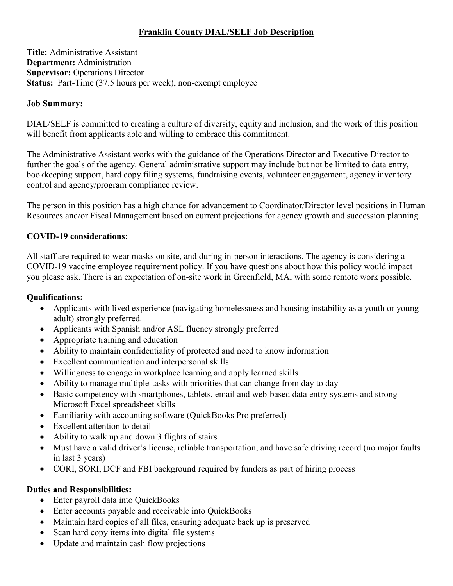# **Franklin County DIAL/SELF Job Description**

**Title:** Administrative Assistant **Department:** Administration **Supervisor:** Operations Director **Status:** Part-Time (37.5 hours per week), non-exempt employee

#### **Job Summary:**

DIAL/SELF is committed to creating a culture of diversity, equity and inclusion, and the work of this position will benefit from applicants able and willing to embrace this commitment.

The Administrative Assistant works with the guidance of the Operations Director and Executive Director to further the goals of the agency. General administrative support may include but not be limited to data entry, bookkeeping support, hard copy filing systems, fundraising events, volunteer engagement, agency inventory control and agency/program compliance review.

The person in this position has a high chance for advancement to Coordinator/Director level positions in Human Resources and/or Fiscal Management based on current projections for agency growth and succession planning.

### **COVID-19 considerations:**

All staff are required to wear masks on site, and during in-person interactions. The agency is considering a COVID-19 vaccine employee requirement policy. If you have questions about how this policy would impact you please ask. There is an expectation of on-site work in Greenfield, MA, with some remote work possible.

#### **Qualifications:**

- Applicants with lived experience (navigating homelessness and housing instability as a youth or young adult) strongly preferred.
- Applicants with Spanish and/or ASL fluency strongly preferred
- Appropriate training and education
- Ability to maintain confidentiality of protected and need to know information
- Excellent communication and interpersonal skills
- Willingness to engage in workplace learning and apply learned skills
- Ability to manage multiple-tasks with priorities that can change from day to day
- Basic competency with smartphones, tablets, email and web-based data entry systems and strong Microsoft Excel spreadsheet skills
- Familiarity with accounting software (QuickBooks Pro preferred)
- Excellent attention to detail
- Ability to walk up and down 3 flights of stairs
- Must have a valid driver's license, reliable transportation, and have safe driving record (no major faults in last 3 years)
- CORI, SORI, DCF and FBI background required by funders as part of hiring process

### **Duties and Responsibilities:**

- Enter payroll data into QuickBooks
- Enter accounts payable and receivable into QuickBooks
- Maintain hard copies of all files, ensuring adequate back up is preserved
- Scan hard copy items into digital file systems
- Update and maintain cash flow projections